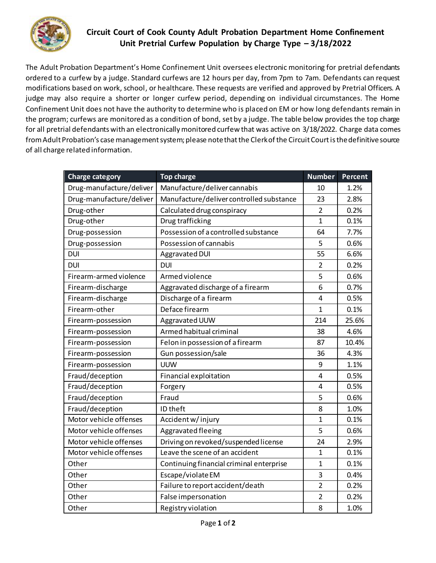

## **Circuit Court of Cook County Adult Probation Department Home Confinement Unit Pretrial Curfew Population by Charge Type – 3/18/2022**

The Adult Probation Department's Home Confinement Unit oversees electronic monitoring for pretrial defendants ordered to a curfew by a judge. Standard curfews are 12 hours per day, from 7pm to 7am. Defendants can request modifications based on work, school, or healthcare. These requests are verified and approved by Pretrial Officers. A judge may also require a shorter or longer curfew period, depending on individual circumstances. The Home Confinement Unit does not have the authority to determine who is placed on EM or how long defendants remain in the program; curfews are monitored as a condition of bond, set by a judge. The table below provides the top charge for all pretrial defendants with an electronically monitored curfew that was active on 3/18/2022. Charge data comes from Adult Probation's case management system; please note that the Clerk of the Circuit Court is the definitive source of all charge related information.

| <b>Charge category</b>   | <b>Top charge</b>                        | <b>Number</b>  | <b>Percent</b> |
|--------------------------|------------------------------------------|----------------|----------------|
| Drug-manufacture/deliver | Manufacture/deliver cannabis             | 10             | 1.2%           |
| Drug-manufacture/deliver | Manufacture/deliver controlled substance | 23             | 2.8%           |
| Drug-other               | Calculated drug conspiracy               | $\overline{2}$ | 0.2%           |
| Drug-other               | Drug trafficking                         | $\mathbf{1}$   | 0.1%           |
| Drug-possession          | Possession of a controlled substance     | 64             | 7.7%           |
| Drug-possession          | Possession of cannabis                   | 5              | 0.6%           |
| <b>DUI</b>               | Aggravated DUI                           | 55             | 6.6%           |
| <b>DUI</b>               | <b>DUI</b>                               | $\overline{2}$ | 0.2%           |
| Firearm-armed violence   | Armed violence                           | 5              | 0.6%           |
| Firearm-discharge        | Aggravated discharge of a firearm        | 6              | 0.7%           |
| Firearm-discharge        | Discharge of a firearm                   | 4              | 0.5%           |
| Firearm-other            | Deface firearm                           | $\mathbf{1}$   | 0.1%           |
| Firearm-possession       | Aggravated UUW                           | 214            | 25.6%          |
| Firearm-possession       | Armed habitual criminal                  | 38             | 4.6%           |
| Firearm-possession       | Felon in possession of a firearm         | 87             | 10.4%          |
| Firearm-possession       | Gun possession/sale                      | 36             | 4.3%           |
| Firearm-possession       | <b>UUW</b>                               | 9              | 1.1%           |
| Fraud/deception          | Financial exploitation                   | 4              | 0.5%           |
| Fraud/deception          | Forgery                                  | 4              | 0.5%           |
| Fraud/deception          | Fraud                                    | 5              | 0.6%           |
| Fraud/deception          | ID theft                                 | 8              | 1.0%           |
| Motor vehicle offenses   | Accident w/injury                        | $\mathbf 1$    | 0.1%           |
| Motor vehicle offenses   | Aggravated fleeing                       | 5              | 0.6%           |
| Motor vehicle offenses   | Driving on revoked/suspended license     | 24             | 2.9%           |
| Motor vehicle offenses   | Leave the scene of an accident           | $\mathbf{1}$   | 0.1%           |
| Other                    | Continuing financial criminal enterprise | $\mathbf 1$    | 0.1%           |
| Other                    | Escape/violate EM                        | 3              | 0.4%           |
| Other                    | Failure to report accident/death         | $\overline{2}$ | 0.2%           |
| Other                    | False impersonation                      | $\overline{2}$ | 0.2%           |
| Other                    | Registry violation                       | 8              | 1.0%           |